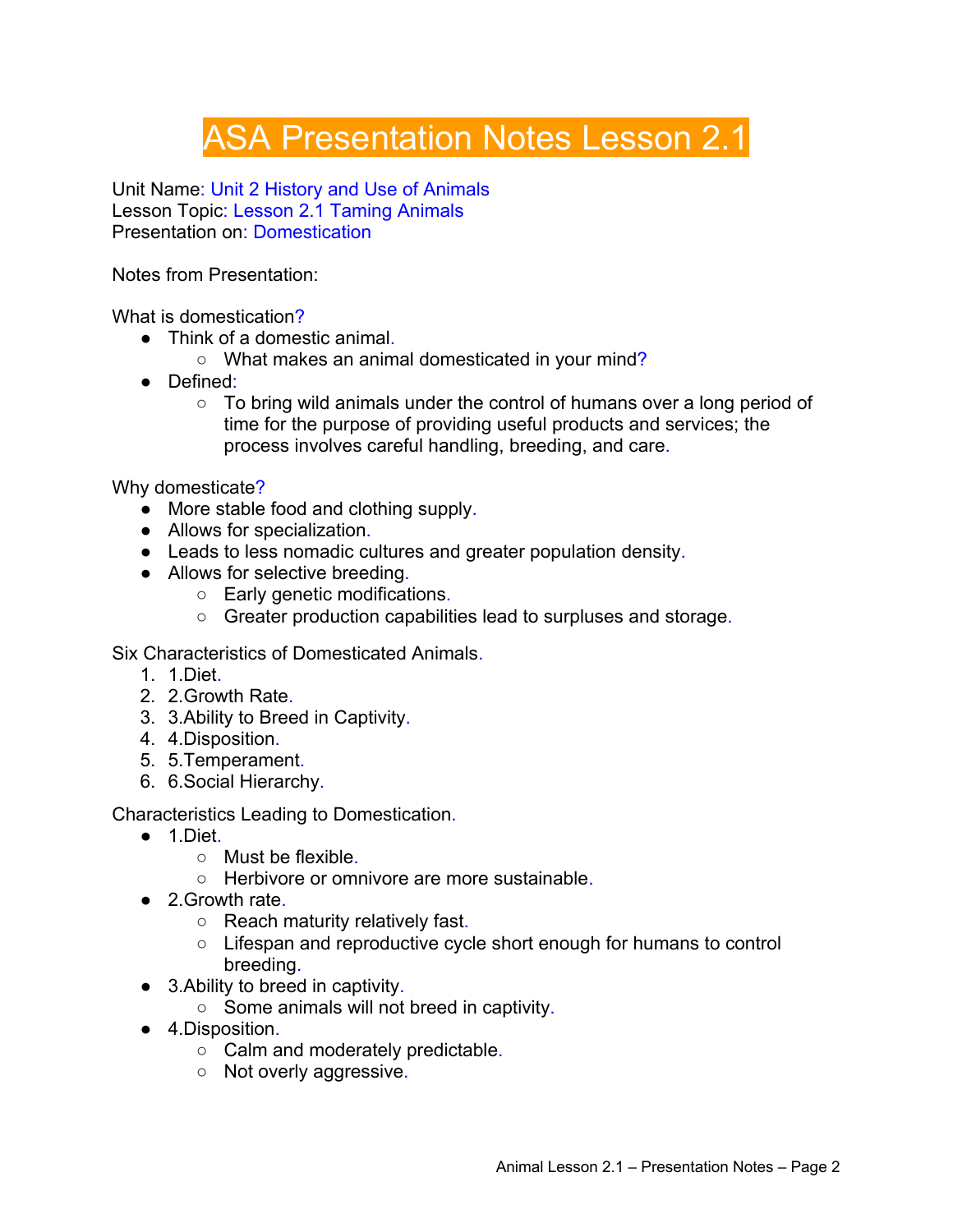## ASA Presentation Notes Lesson 2.1

Unit Name: Unit 2 History and Use of Animals Lesson Topic: Lesson 2.1 Taming Animals Presentation on: Domestication

Notes from Presentation:

What is domestication?

- Think of a domestic animal.
	- What makes an animal domesticated in your mind?
- Defined:
	- To bring wild animals under the control of humans over a long period of time for the purpose of providing useful products and services; the process involves careful handling, breeding, and care.

Why domesticate?

- More stable food and clothing supply.
- Allows for specialization.
- Leads to less nomadic cultures and greater population density.
- Allows for selective breeding.
	- Early genetic modifications.
	- Greater production capabilities lead to surpluses and storage.

Six Characteristics of Domesticated Animals.

- 1. 1.Diet.
- 2. 2.Growth Rate.
- 3. 3.Ability to Breed in Captivity.
- 4. 4.Disposition.
- 5. 5.Temperament.
- 6. 6.Social Hierarchy.

Characteristics Leading to Domestication.

- 1.Diet.
	- Must be flexible.
	- Herbivore or omnivore are more sustainable.
- 2.Growth rate.
	- Reach maturity relatively fast.
	- Lifespan and reproductive cycle short enough for humans to control breeding.
- 3.Ability to breed in captivity.
	- Some animals will not breed in captivity.
- 4.Disposition.
	- Calm and moderately predictable.
	- Not overly aggressive.